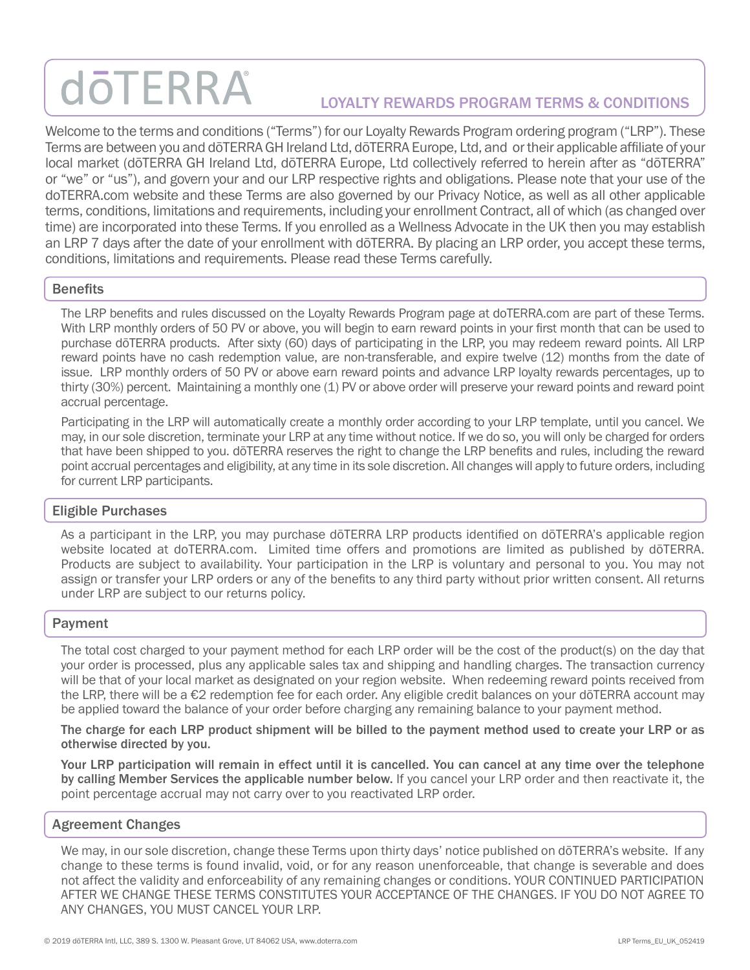# **döTERRA** LOYALTY REWARDS PROGRAM TERMS & CONDITIONS

Welcome to the terms and conditions ("Terms") for our Loyalty Rewards Program ordering program ("LRP"). These Terms are between you and dōTERRA GH Ireland Ltd, dōTERRA Europe, Ltd, and or their applicable affiliate of your local market (dōTERRA GH Ireland Ltd, dōTERRA Europe, Ltd collectively referred to herein after as "dōTERRA" or "we" or "us"), and govern your and our LRP respective rights and obligations. Please note that your use of the doTERRA.com website and these Terms are also governed by our Privacy Notice, as well as all other applicable terms, conditions, limitations and requirements, including your enrollment Contract, all of which (as changed over time) are incorporated into these Terms. If you enrolled as a Wellness Advocate in the UK then you may establish an LRP 7 days after the date of your enrollment with dōTERRA. By placing an LRP order, you accept these terms, conditions, limitations and requirements. Please read these Terms carefully.

#### **Benefits**

The LRP benefits and rules discussed on the Loyalty Rewards Program page at doTERRA.com are part of these Terms. With LRP monthly orders of 50 PV or above, you will begin to earn reward points in your first month that can be used to purchase dōTERRA products. After sixty (60) days of participating in the LRP, you may redeem reward points. All LRP reward points have no cash redemption value, are non-transferable, and expire twelve (12) months from the date of issue. LRP monthly orders of 50 PV or above earn reward points and advance LRP loyalty rewards percentages, up to thirty (30%) percent. Maintaining a monthly one (1) PV or above order will preserve your reward points and reward point accrual percentage.

Participating in the LRP will automatically create a monthly order according to your LRP template, until you cancel. We may, in our sole discretion, terminate your LRP at any time without notice. If we do so, you will only be charged for orders that have been shipped to you. dōTERRA reserves the right to change the LRP benefits and rules, including the reward point accrual percentages and eligibility, at any time in its sole discretion. All changes will apply to future orders, including for current LRP participants.

#### Eligible Purchases

As a participant in the LRP, you may purchase dōTERRA LRP products identified on dōTERRA's applicable region website located at doTERRA.com. Limited time offers and promotions are limited as published by dōTERRA. Products are subject to availability. Your participation in the LRP is voluntary and personal to you. You may not assign or transfer your LRP orders or any of the benefits to any third party without prior written consent. All returns under LRP are subject to our returns policy.

#### Payment

The total cost charged to your payment method for each LRP order will be the cost of the product(s) on the day that your order is processed, plus any applicable sales tax and shipping and handling charges. The transaction currency will be that of your local market as designated on your region website. When redeeming reward points received from the LRP, there will be a €2 redemption fee for each order. Any eligible credit balances on your dōTERRA account may be applied toward the balance of your order before charging any remaining balance to your payment method.

The charge for each LRP product shipment will be billed to the payment method used to create your LRP or as otherwise directed by you.

Your LRP participation will remain in effect until it is cancelled. You can cancel at any time over the telephone by calling Member Services the applicable number below. If you cancel your LRP order and then reactivate it, the point percentage accrual may not carry over to you reactivated LRP order.

#### Agreement Changes

We may, in our sole discretion, change these Terms upon thirty days' notice published on dōTERRA's website. If any change to these terms is found invalid, void, or for any reason unenforceable, that change is severable and does not affect the validity and enforceability of any remaining changes or conditions. YOUR CONTINUED PARTICIPATION AFTER WE CHANGE THESE TERMS CONSTITUTES YOUR ACCEPTANCE OF THE CHANGES. IF YOU DO NOT AGREE TO ANY CHANGES, YOU MUST CANCEL YOUR LRP.